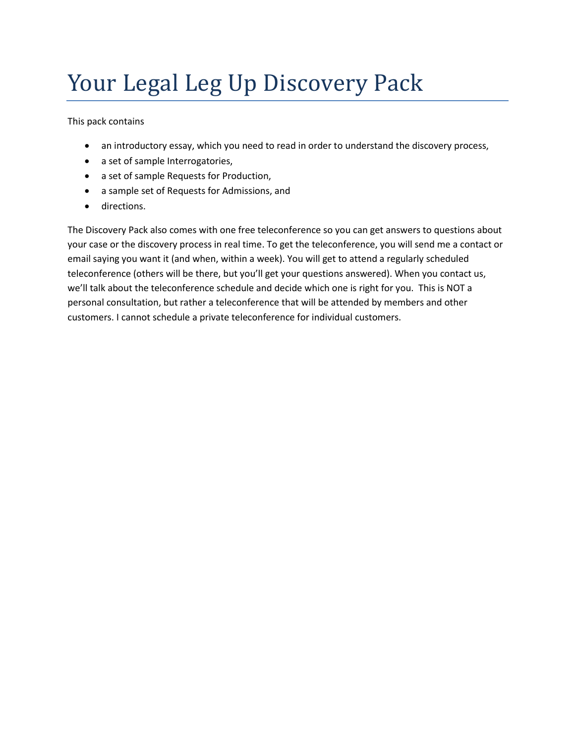# Your Legal Leg Up Discovery Pack

This pack contains

- an introductory essay, which you need to read in order to understand the discovery process,
- a set of sample Interrogatories,
- a set of sample Requests for Production,
- a sample set of Requests for Admissions, and
- **•** directions.

The Discovery Pack also comes with one free teleconference so you can get answers to questions about your case or the discovery process in real time. To get the teleconference, you will send me a contact or email saying you want it (and when, within a week). You will get to attend a regularly scheduled teleconference (others will be there, but you'll get your questions answered). When you contact us, we'll talk about the teleconference schedule and decide which one is right for you. This is NOT a personal consultation, but rather a teleconference that will be attended by members and other customers. I cannot schedule a private teleconference for individual customers.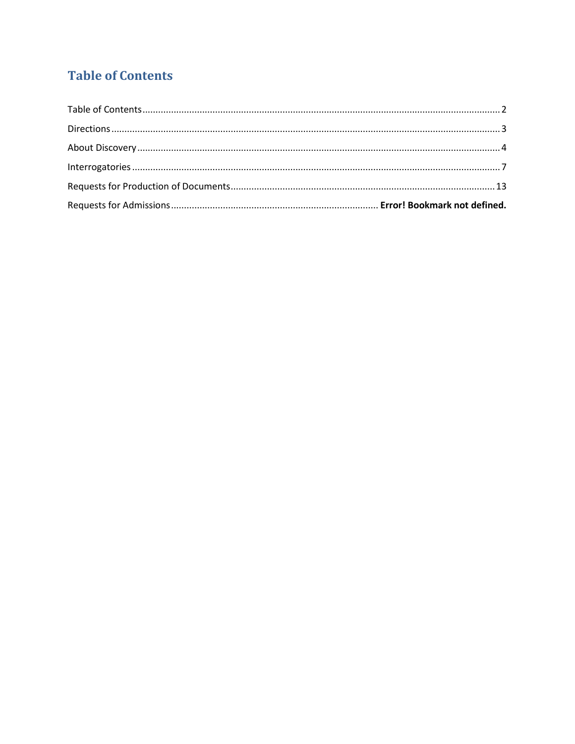# <span id="page-1-0"></span>**Table of Contents**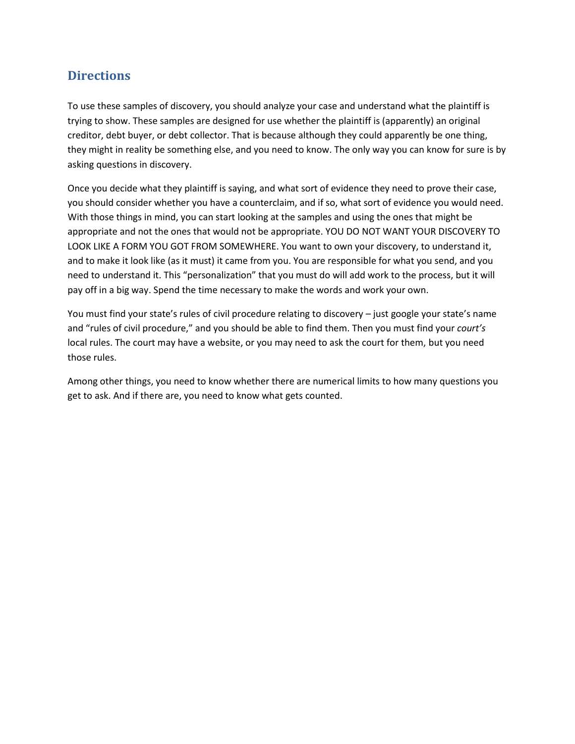# <span id="page-2-0"></span>**Directions**

To use these samples of discovery, you should analyze your case and understand what the plaintiff is trying to show. These samples are designed for use whether the plaintiff is (apparently) an original creditor, debt buyer, or debt collector. That is because although they could apparently be one thing, they might in reality be something else, and you need to know. The only way you can know for sure is by asking questions in discovery.

Once you decide what they plaintiff is saying, and what sort of evidence they need to prove their case, you should consider whether you have a counterclaim, and if so, what sort of evidence you would need. With those things in mind, you can start looking at the samples and using the ones that might be appropriate and not the ones that would not be appropriate. YOU DO NOT WANT YOUR DISCOVERY TO LOOK LIKE A FORM YOU GOT FROM SOMEWHERE. You want to own your discovery, to understand it, and to make it look like (as it must) it came from you. You are responsible for what you send, and you need to understand it. This "personalization" that you must do will add work to the process, but it will pay off in a big way. Spend the time necessary to make the words and work your own.

You must find your state's rules of civil procedure relating to discovery – just google your state's name and "rules of civil procedure," and you should be able to find them. Then you must find your *court's* local rules. The court may have a website, or you may need to ask the court for them, but you need those rules.

Among other things, you need to know whether there are numerical limits to how many questions you get to ask. And if there are, you need to know what gets counted.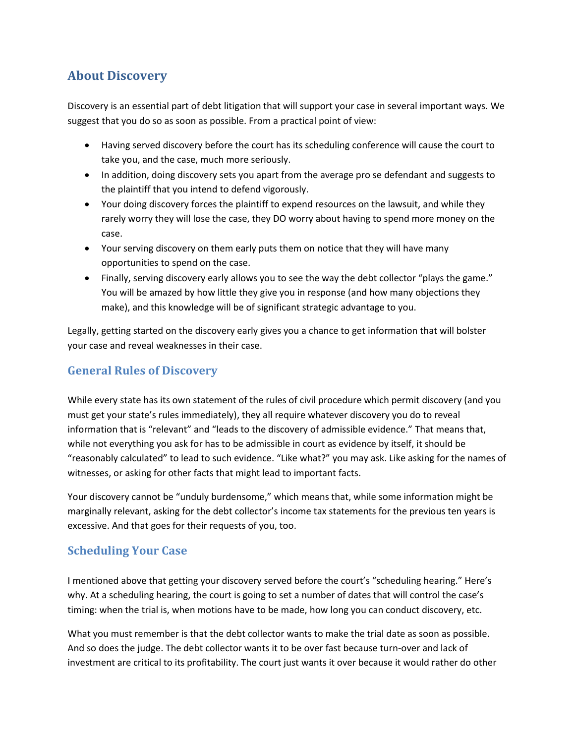# <span id="page-3-0"></span>**About Discovery**

Discovery is an essential part of debt litigation that will support your case in several important ways. We suggest that you do so as soon as possible. From a practical point of view:

- Having served discovery before the court has its scheduling conference will cause the court to take you, and the case, much more seriously.
- In addition, doing discovery sets you apart from the average pro se defendant and suggests to the plaintiff that you intend to defend vigorously.
- Your doing discovery forces the plaintiff to expend resources on the lawsuit, and while they rarely worry they will lose the case, they DO worry about having to spend more money on the case.
- Your serving discovery on them early puts them on notice that they will have many opportunities to spend on the case.
- Finally, serving discovery early allows you to see the way the debt collector "plays the game." You will be amazed by how little they give you in response (and how many objections they make), and this knowledge will be of significant strategic advantage to you.

Legally, getting started on the discovery early gives you a chance to get information that will bolster your case and reveal weaknesses in their case.

# **General Rules of Discovery**

While every state has its own statement of the rules of civil procedure which permit discovery (and you must get your state's rules immediately), they all require whatever discovery you do to reveal information that is "relevant" and "leads to the discovery of admissible evidence." That means that, while not everything you ask for has to be admissible in court as evidence by itself, it should be "reasonably calculated" to lead to such evidence. "Like what?" you may ask. Like asking for the names of witnesses, or asking for other facts that might lead to important facts.

Your discovery cannot be "unduly burdensome," which means that, while some information might be marginally relevant, asking for the debt collector's income tax statements for the previous ten years is excessive. And that goes for their requests of you, too.

# **Scheduling Your Case**

I mentioned above that getting your discovery served before the court's "scheduling hearing." Here's why. At a scheduling hearing, the court is going to set a number of dates that will control the case's timing: when the trial is, when motions have to be made, how long you can conduct discovery, etc.

What you must remember is that the debt collector wants to make the trial date as soon as possible. And so does the judge. The debt collector wants it to be over fast because turn-over and lack of investment are critical to its profitability. The court just wants it over because it would rather do other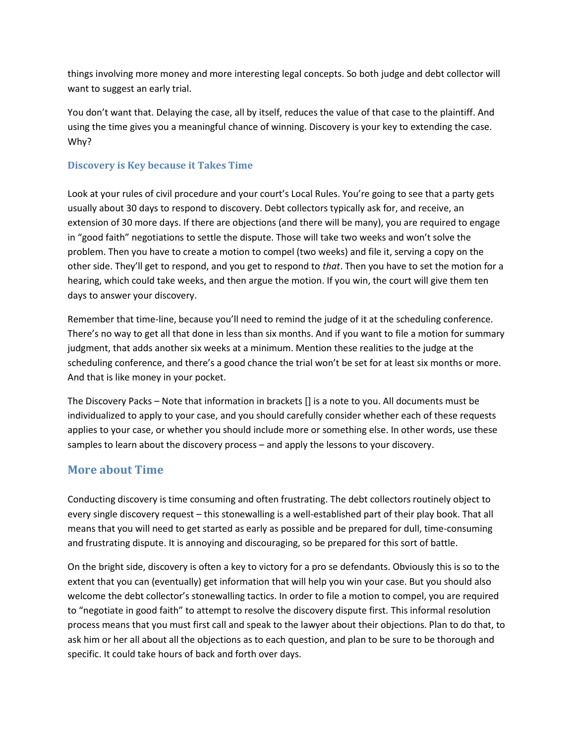things involving more money and more interesting legal concepts. So both judge and debt collector will want to suggest an early trial.

You don't want that. Delaying the case, all by itself, reduces the value of that case to the plaintiff. And using the time gives you a meaningful chance of winning. Discovery is your key to extending the case. Why?

#### **Discovery is Key because it Takes Time**

Look at your rules of civil procedure and your court's Local Rules. You're going to see that a party gets usually about 30 days to respond to discovery. Debt collectors typically ask for, and receive, an extension of 30 more days. If there are objections (and there will be many), you are required to engage in "good faith" negotiations to settle the dispute. Those will take two weeks and won't solve the problem. Then you have to create a motion to compel (two weeks) and file it, serving a copy on the other side. They'll get to respond, and you get to respond to *that*. Then you have to set the motion for a hearing, which could take weeks, and then argue the motion. If you win, the court will give them ten days to answer your discovery.

Remember that time-line, because you'll need to remind the judge of it at the scheduling conference. There's no way to get all that done in less than six months. And if you want to file a motion for summary judgment, that adds another six weeks at a minimum. Mention these realities to the judge at the scheduling conference, and there's a good chance the trial won't be set for at least six months or more. And that is like money in your pocket.

The Discovery Packs – Note that information in brackets [] is a note to you. All documents must be individualized to apply to your case, and you should carefully consider whether each of these requests applies to your case, or whether you should include more or something else. In other words, use these samples to learn about the discovery process – and apply the lessons to your discovery.

# **More about Time**

Conducting discovery is time consuming and often frustrating. The debt collectors routinely object to every single discovery request – this stonewalling is a well-established part of their play book. That all means that you will need to get started as early as possible and be prepared for dull, time-consuming and frustrating dispute. It is annoying and discouraging, so be prepared for this sort of battle.

On the bright side, discovery is often a key to victory for a pro se defendants. Obviously this is so to the extent that you can (eventually) get information that will help you win your case. But you should also welcome the debt collector's stonewalling tactics. In order to file a motion to compel, you are required to "negotiate in good faith" to attempt to resolve the discovery dispute first. This informal resolution process means that you must first call and speak to the lawyer about their objections. Plan to do that, to ask him or her all about all the objections as to each question, and plan to be sure to be thorough and specific. It could take hours of back and forth over days.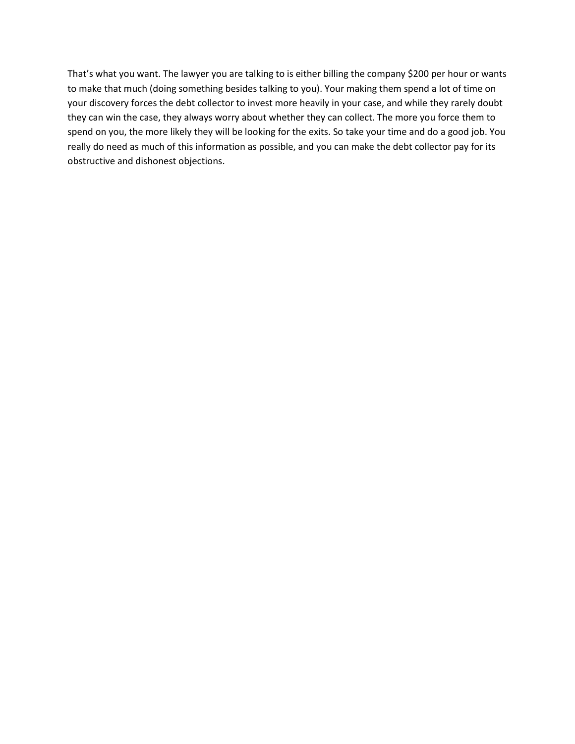That's what you want. The lawyer you are talking to is either billing the company \$200 per hour or wants to make that much (doing something besides talking to you). Your making them spend a lot of time on your discovery forces the debt collector to invest more heavily in your case, and while they rarely doubt they can win the case, they always worry about whether they can collect. The more you force them to spend on you, the more likely they will be looking for the exits. So take your time and do a good job. You really do need as much of this information as possible, and you can make the debt collector pay for its obstructive and dishonest objections.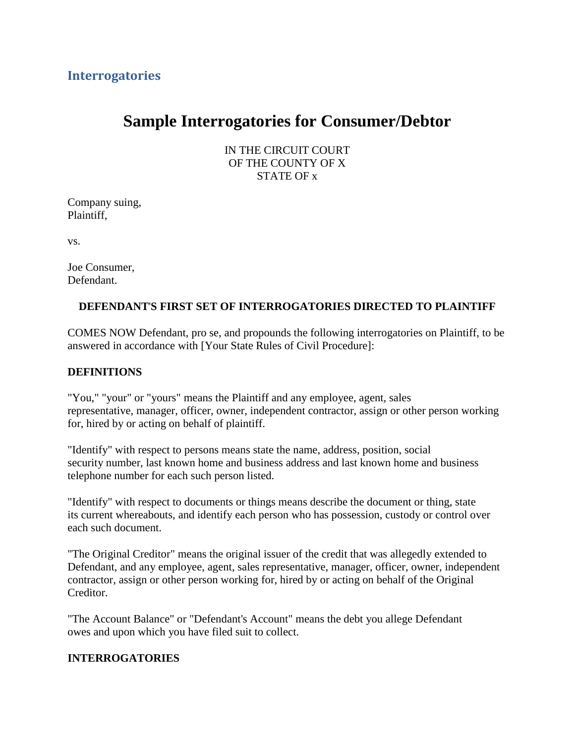# <span id="page-6-0"></span>**Interrogatories**

# **Sample Interrogatories for Consumer/Debtor**

IN THE CIRCUIT COURT OF THE COUNTY OF X STATE OF x

Company suing, Plaintiff,

vs.

Joe Consumer, Defendant.

#### **DEFENDANT**'**S FIRST SET OF INTERROGATORIES DIRECTED TO PLAINTIFF**

COMES NOW Defendant, pro se, and propounds the following interrogatories on Plaintiff, to be answered in accordance with [Your State Rules of Civil Procedure]:

#### **DEFINITIONS**

"You," "your" or "yours" means the Plaintiff and any employee, agent, sales representative, manager, officer, owner, independent contractor, assign or other person working for, hired by or acting on behalf of plaintiff.

"Identify" with respect to persons means state the name, address, position, social security number, last known home and business address and last known home and business telephone number for each such person listed.

"Identify" with respect to documents or things means describe the document or thing, state its current whereabouts, and identify each person who has possession, custody or control over each such document.

"The Original Creditor" means the original issuer of the credit that was allegedly extended to Defendant, and any employee, agent, sales representative, manager, officer, owner, independent contractor, assign or other person working for, hired by or acting on behalf of the Original Creditor.

"The Account Balance" or "Defendant's Account" means the debt you allege Defendant owes and upon which you have filed suit to collect.

#### **INTERROGATORIES**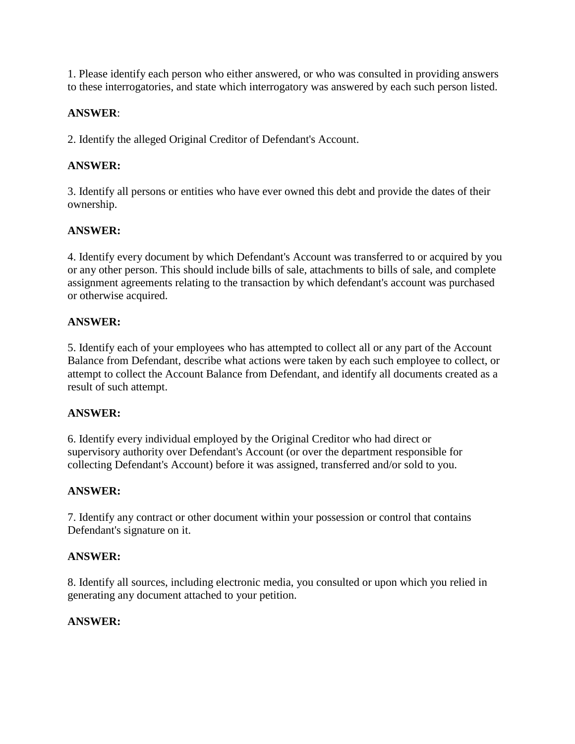1. Please identify each person who either answered, or who was consulted in providing answers to these interrogatories, and state which interrogatory was answered by each such person listed.

#### **ANSWER**:

2. Identify the alleged Original Creditor of Defendant's Account.

# **ANSWER:**

3. Identify all persons or entities who have ever owned this debt and provide the dates of their ownership.

# **ANSWER:**

4. Identify every document by which Defendant's Account was transferred to or acquired by you or any other person. This should include bills of sale, attachments to bills of sale, and complete assignment agreements relating to the transaction by which defendant's account was purchased or otherwise acquired.

#### **ANSWER:**

5. Identify each of your employees who has attempted to collect all or any part of the Account Balance from Defendant, describe what actions were taken by each such employee to collect, or attempt to collect the Account Balance from Defendant, and identify all documents created as a result of such attempt.

# **ANSWER:**

6. Identify every individual employed by the Original Creditor who had direct or supervisory authority over Defendant's Account (or over the department responsible for collecting Defendant's Account) before it was assigned, transferred and/or sold to you.

# **ANSWER:**

7. Identify any contract or other document within your possession or control that contains Defendant's signature on it.

#### **ANSWER:**

8. Identify all sources, including electronic media, you consulted or upon which you relied in generating any document attached to your petition.

# **ANSWER:**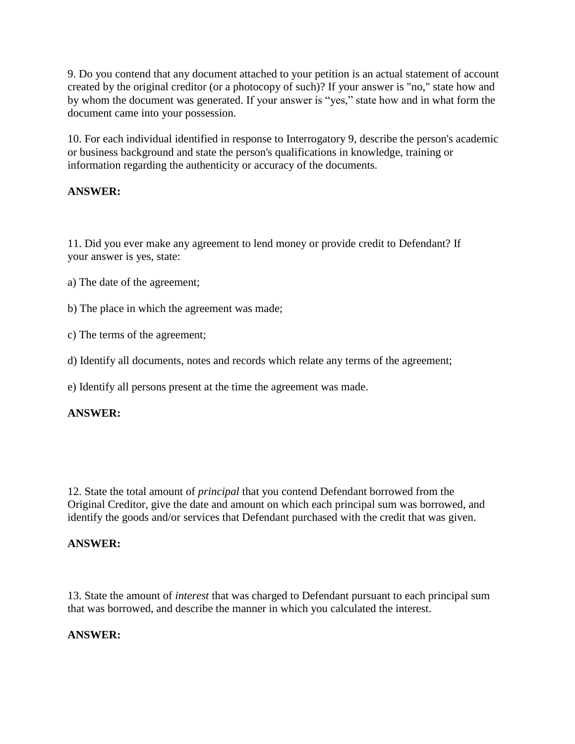9. Do you contend that any document attached to your petition is an actual statement of account created by the original creditor (or a photocopy of such)? If your answer is "no," state how and by whom the document was generated. If your answer is "yes," state how and in what form the document came into your possession.

10. For each individual identified in response to Interrogatory 9, describe the person's academic or business background and state the person's qualifications in knowledge, training or information regarding the authenticity or accuracy of the documents.

#### **ANSWER:**

11. Did you ever make any agreement to lend money or provide credit to Defendant? If your answer is yes, state:

- a) The date of the agreement;
- b) The place in which the agreement was made;
- c) The terms of the agreement;
- d) Identify all documents, notes and records which relate any terms of the agreement;

e) Identify all persons present at the time the agreement was made.

#### **ANSWER:**

12. State the total amount of *principal* that you contend Defendant borrowed from the Original Creditor, give the date and amount on which each principal sum was borrowed, and identify the goods and/or services that Defendant purchased with the credit that was given.

#### **ANSWER:**

13. State the amount of *interest* that was charged to Defendant pursuant to each principal sum that was borrowed, and describe the manner in which you calculated the interest.

#### **ANSWER:**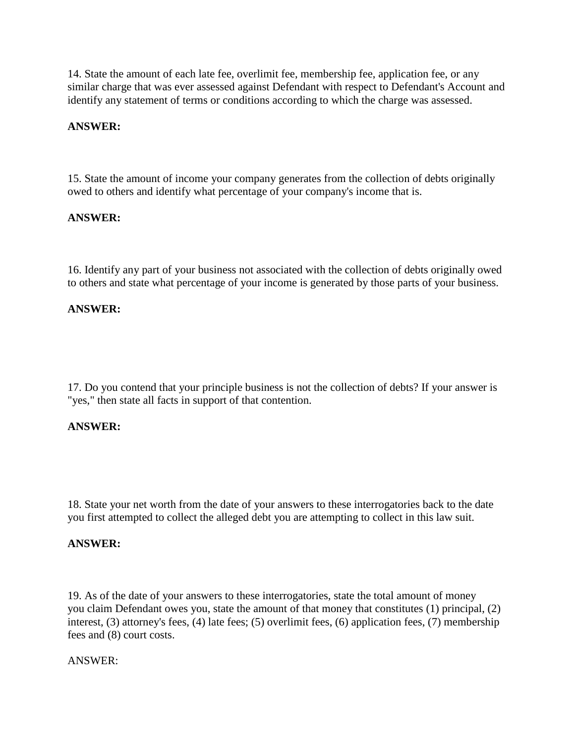14. State the amount of each late fee, overlimit fee, membership fee, application fee, or any similar charge that was ever assessed against Defendant with respect to Defendant's Account and identify any statement of terms or conditions according to which the charge was assessed.

#### **ANSWER:**

15. State the amount of income your company generates from the collection of debts originally owed to others and identify what percentage of your company's income that is.

#### **ANSWER:**

16. Identify any part of your business not associated with the collection of debts originally owed to others and state what percentage of your income is generated by those parts of your business.

#### **ANSWER:**

17. Do you contend that your principle business is not the collection of debts? If your answer is "yes," then state all facts in support of that contention.

#### **ANSWER:**

18. State your net worth from the date of your answers to these interrogatories back to the date you first attempted to collect the alleged debt you are attempting to collect in this law suit.

#### **ANSWER:**

19. As of the date of your answers to these interrogatories, state the total amount of money you claim Defendant owes you, state the amount of that money that constitutes (1) principal, (2) interest, (3) attorney's fees, (4) late fees; (5) overlimit fees, (6) application fees, (7) membership fees and (8) court costs.

#### ANSWER: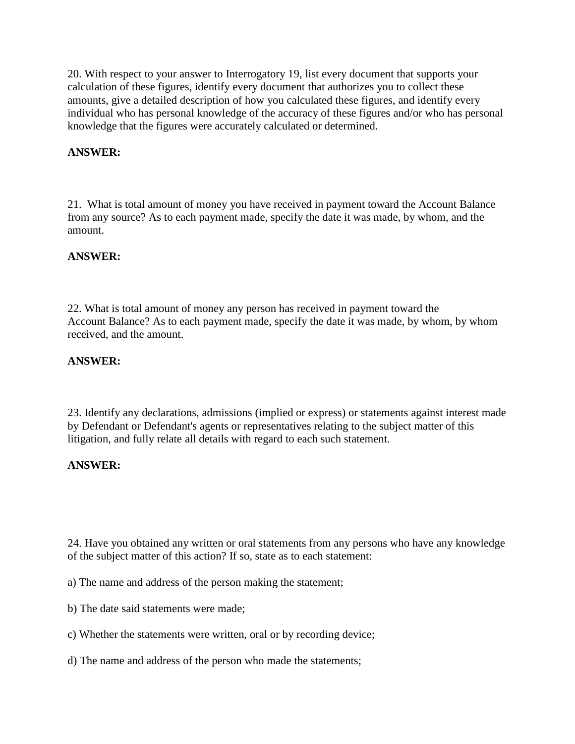20. With respect to your answer to Interrogatory 19, list every document that supports your calculation of these figures, identify every document that authorizes you to collect these amounts, give a detailed description of how you calculated these figures, and identify every individual who has personal knowledge of the accuracy of these figures and/or who has personal knowledge that the figures were accurately calculated or determined.

#### **ANSWER:**

21. What is total amount of money you have received in payment toward the Account Balance from any source? As to each payment made, specify the date it was made, by whom, and the amount.

#### **ANSWER:**

22. What is total amount of money any person has received in payment toward the Account Balance? As to each payment made, specify the date it was made, by whom, by whom received, and the amount.

#### **ANSWER:**

23. Identify any declarations, admissions (implied or express) or statements against interest made by Defendant or Defendant's agents or representatives relating to the subject matter of this litigation, and fully relate all details with regard to each such statement.

#### **ANSWER:**

24. Have you obtained any written or oral statements from any persons who have any knowledge of the subject matter of this action? If so, state as to each statement:

- a) The name and address of the person making the statement;
- b) The date said statements were made;
- c) Whether the statements were written, oral or by recording device;
- d) The name and address of the person who made the statements;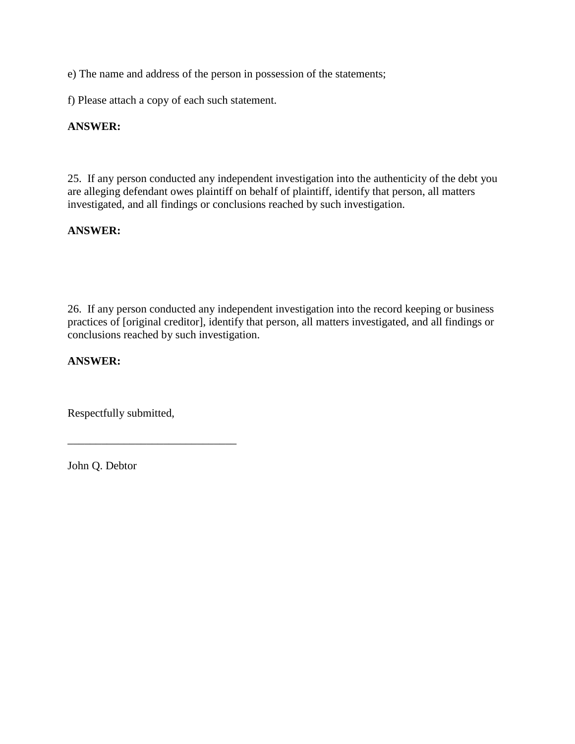e) The name and address of the person in possession of the statements;

f) Please attach a copy of each such statement.

#### **ANSWER:**

25. If any person conducted any independent investigation into the authenticity of the debt you are alleging defendant owes plaintiff on behalf of plaintiff, identify that person, all matters investigated, and all findings or conclusions reached by such investigation.

#### **ANSWER:**

26. If any person conducted any independent investigation into the record keeping or business practices of [original creditor], identify that person, all matters investigated, and all findings or conclusions reached by such investigation.

#### **ANSWER:**

Respectfully submitted,

\_\_\_\_\_\_\_\_\_\_\_\_\_\_\_\_\_\_\_\_\_\_\_\_\_\_\_\_\_\_

John Q. Debtor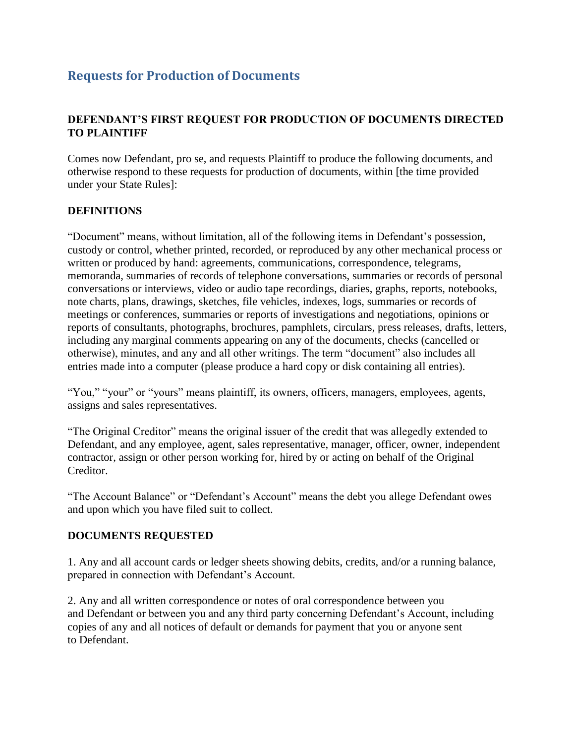# <span id="page-12-0"></span>**Requests for Production of Documents**

#### **DEFENDANT'S FIRST REQUEST FOR PRODUCTION OF DOCUMENTS DIRECTED TO PLAINTIFF**

Comes now Defendant, pro se, and requests Plaintiff to produce the following documents, and otherwise respond to these requests for production of documents, within [the time provided under your State Rules]:

#### **DEFINITIONS**

"Document" means, without limitation, all of the following items in Defendant's possession, custody or control, whether printed, recorded, or reproduced by any other mechanical process or written or produced by hand: agreements, communications, correspondence, telegrams, memoranda, summaries of records of telephone conversations, summaries or records of personal conversations or interviews, video or audio tape recordings, diaries, graphs, reports, notebooks, note charts, plans, drawings, sketches, file vehicles, indexes, logs, summaries or records of meetings or conferences, summaries or reports of investigations and negotiations, opinions or reports of consultants, photographs, brochures, pamphlets, circulars, press releases, drafts, letters, including any marginal comments appearing on any of the documents, checks (cancelled or otherwise), minutes, and any and all other writings. The term "document" also includes all entries made into a computer (please produce a hard copy or disk containing all entries).

"You," "your" or "yours" means plaintiff, its owners, officers, managers, employees, agents, assigns and sales representatives.

"The Original Creditor" means the original issuer of the credit that was allegedly extended to Defendant, and any employee, agent, sales representative, manager, officer, owner, independent contractor, assign or other person working for, hired by or acting on behalf of the Original Creditor.

"The Account Balance" or "Defendant's Account" means the debt you allege Defendant owes and upon which you have filed suit to collect.

#### **DOCUMENTS REQUESTED**

1. Any and all account cards or ledger sheets showing debits, credits, and/or a running balance, prepared in connection with Defendant's Account.

2. Any and all written correspondence or notes of oral correspondence between you and Defendant or between you and any third party concerning Defendant's Account, including copies of any and all notices of default or demands for payment that you or anyone sent to Defendant.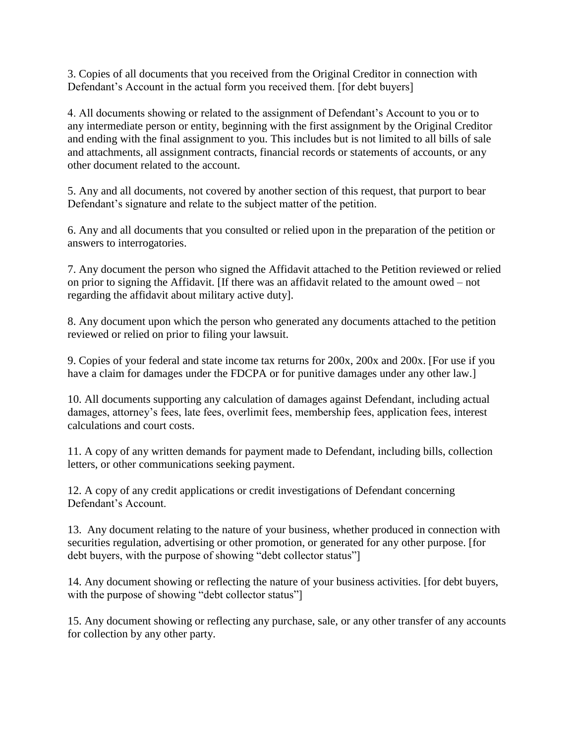3. Copies of all documents that you received from the Original Creditor in connection with Defendant's Account in the actual form you received them. [for debt buyers]

4. All documents showing or related to the assignment of Defendant's Account to you or to any intermediate person or entity, beginning with the first assignment by the Original Creditor and ending with the final assignment to you. This includes but is not limited to all bills of sale and attachments, all assignment contracts, financial records or statements of accounts, or any other document related to the account.

5. Any and all documents, not covered by another section of this request, that purport to bear Defendant's signature and relate to the subject matter of the petition.

6. Any and all documents that you consulted or relied upon in the preparation of the petition or answers to interrogatories.

7. Any document the person who signed the Affidavit attached to the Petition reviewed or relied on prior to signing the Affidavit. [If there was an affidavit related to the amount owed – not regarding the affidavit about military active duty].

8. Any document upon which the person who generated any documents attached to the petition reviewed or relied on prior to filing your lawsuit.

9. Copies of your federal and state income tax returns for 200x, 200x and 200x. [For use if you have a claim for damages under the FDCPA or for punitive damages under any other law.

10. All documents supporting any calculation of damages against Defendant, including actual damages, attorney's fees, late fees, overlimit fees, membership fees, application fees, interest calculations and court costs.

11. A copy of any written demands for payment made to Defendant, including bills, collection letters, or other communications seeking payment.

12. A copy of any credit applications or credit investigations of Defendant concerning Defendant's Account.

13. Any document relating to the nature of your business, whether produced in connection with securities regulation, advertising or other promotion, or generated for any other purpose. [for debt buyers, with the purpose of showing "debt collector status"]

14. Any document showing or reflecting the nature of your business activities. [for debt buyers, with the purpose of showing "debt collector status"]

15. Any document showing or reflecting any purchase, sale, or any other transfer of any accounts for collection by any other party.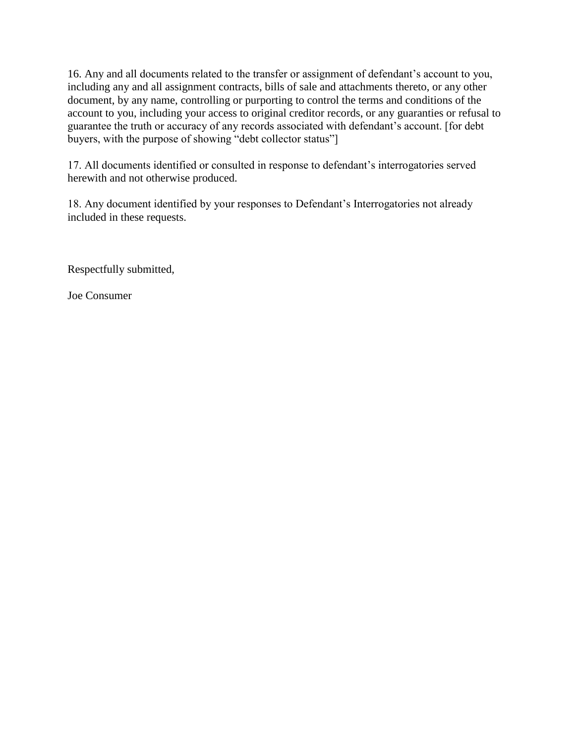16. Any and all documents related to the transfer or assignment of defendant's account to you, including any and all assignment contracts, bills of sale and attachments thereto, or any other document, by any name, controlling or purporting to control the terms and conditions of the account to you, including your access to original creditor records, or any guaranties or refusal to guarantee the truth or accuracy of any records associated with defendant's account. [for debt buyers, with the purpose of showing "debt collector status"]

17. All documents identified or consulted in response to defendant's interrogatories served herewith and not otherwise produced.

18. Any document identified by your responses to Defendant's Interrogatories not already included in these requests.

Respectfully submitted,

Joe Consumer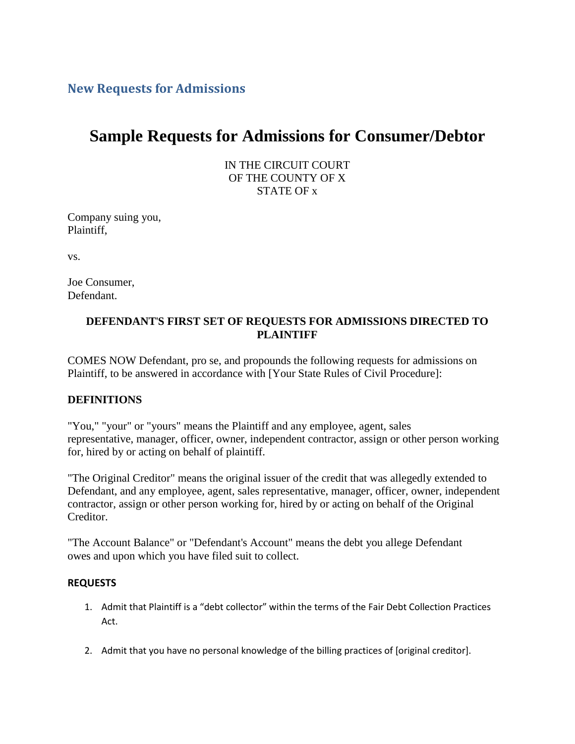**New Requests for Admissions**

# **Sample Requests for Admissions for Consumer/Debtor**

IN THE CIRCUIT COURT OF THE COUNTY OF X STATE OF x

Company suing you, Plaintiff,

vs.

Joe Consumer, Defendant.

#### **DEFENDANT**'**S FIRST SET OF REQUESTS FOR ADMISSIONS DIRECTED TO PLAINTIFF**

COMES NOW Defendant, pro se, and propounds the following requests for admissions on Plaintiff, to be answered in accordance with [Your State Rules of Civil Procedure]:

#### **DEFINITIONS**

"You," "your" or "yours" means the Plaintiff and any employee, agent, sales representative, manager, officer, owner, independent contractor, assign or other person working for, hired by or acting on behalf of plaintiff.

"The Original Creditor" means the original issuer of the credit that was allegedly extended to Defendant, and any employee, agent, sales representative, manager, officer, owner, independent contractor, assign or other person working for, hired by or acting on behalf of the Original Creditor.

"The Account Balance" or "Defendant's Account" means the debt you allege Defendant owes and upon which you have filed suit to collect.

#### **REQUESTS**

- 1. Admit that Plaintiff is a "debt collector" within the terms of the Fair Debt Collection Practices Act.
- 2. Admit that you have no personal knowledge of the billing practices of [original creditor].